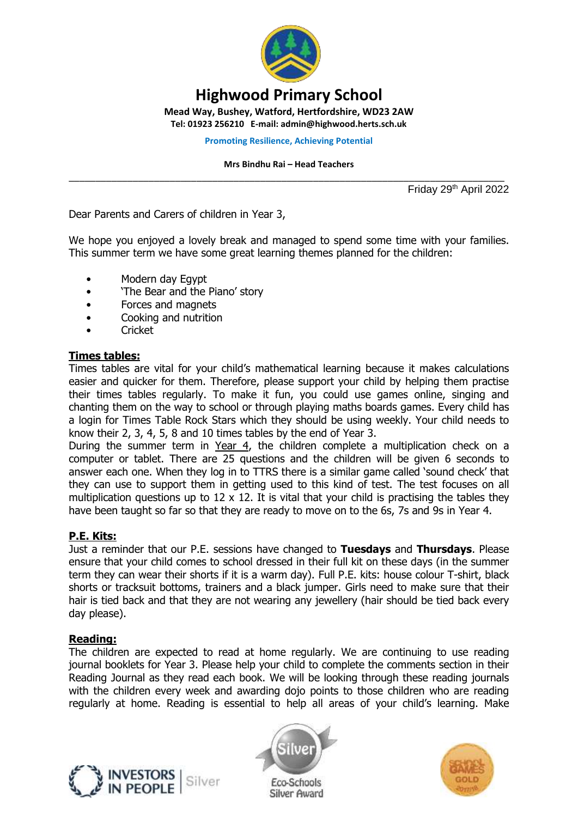

# **Highwood Primary School**

**Mead Way, Bushey, Watford, Hertfordshire, WD23 2AW**

**Tel: 01923 256210 E-mail: admin@highwood.herts.sch.uk**

**Promoting Resilience, Achieving Potential**

#### **Mrs Bindhu Rai – Head Teachers**

\_\_\_\_\_\_\_\_\_\_\_\_\_\_\_\_\_\_\_\_\_\_\_\_\_\_\_\_\_\_\_\_\_\_\_\_\_\_\_\_\_\_\_\_\_\_\_\_\_\_\_\_\_\_\_\_\_\_\_\_\_\_\_\_\_\_\_\_\_\_\_\_\_\_\_\_\_\_\_\_\_\_ Friday 29th April 2022

Dear Parents and Carers of children in Year 3,

We hope you enjoyed a lovely break and managed to spend some time with your families. This summer term we have some great learning themes planned for the children:

- Modern day Egypt
- 'The Bear and the Piano' story
- Forces and magnets
- Cooking and nutrition
- Cricket

## **Times tables:**

Times tables are vital for your child's mathematical learning because it makes calculations easier and quicker for them. Therefore, please support your child by helping them practise their times tables regularly. To make it fun, you could use games online, singing and chanting them on the way to school or through playing maths boards games. Every child has a login for Times Table Rock Stars which they should be using weekly. Your child needs to know their 2, 3, 4, 5, 8 and 10 times tables by the end of Year 3.

During the summer term in Year 4, the children complete a multiplication check on a computer or tablet. There are 25 questions and the children will be given 6 seconds to answer each one. When they log in to TTRS there is a similar game called 'sound check' that they can use to support them in getting used to this kind of test. The test focuses on all multiplication questions up to  $12 \times 12$ . It is vital that your child is practising the tables they have been taught so far so that they are ready to move on to the 6s, 7s and 9s in Year 4.

# **P.E. Kits:**

Just a reminder that our P.E. sessions have changed to **Tuesdays** and **Thursdays**. Please ensure that your child comes to school dressed in their full kit on these days (in the summer term they can wear their shorts if it is a warm day). Full P.E. kits: house colour T-shirt, black shorts or tracksuit bottoms, trainers and a black jumper. Girls need to make sure that their hair is tied back and that they are not wearing any jewellery (hair should be tied back every day please).

#### **Reading:**

The children are expected to read at home regularly. We are continuing to use reading journal booklets for Year 3. Please help your child to complete the comments section in their Reading Journal as they read each book. We will be looking through these reading journals with the children every week and awarding dojo points to those children who are reading regularly at home. Reading is essential to help all areas of your child's learning. Make